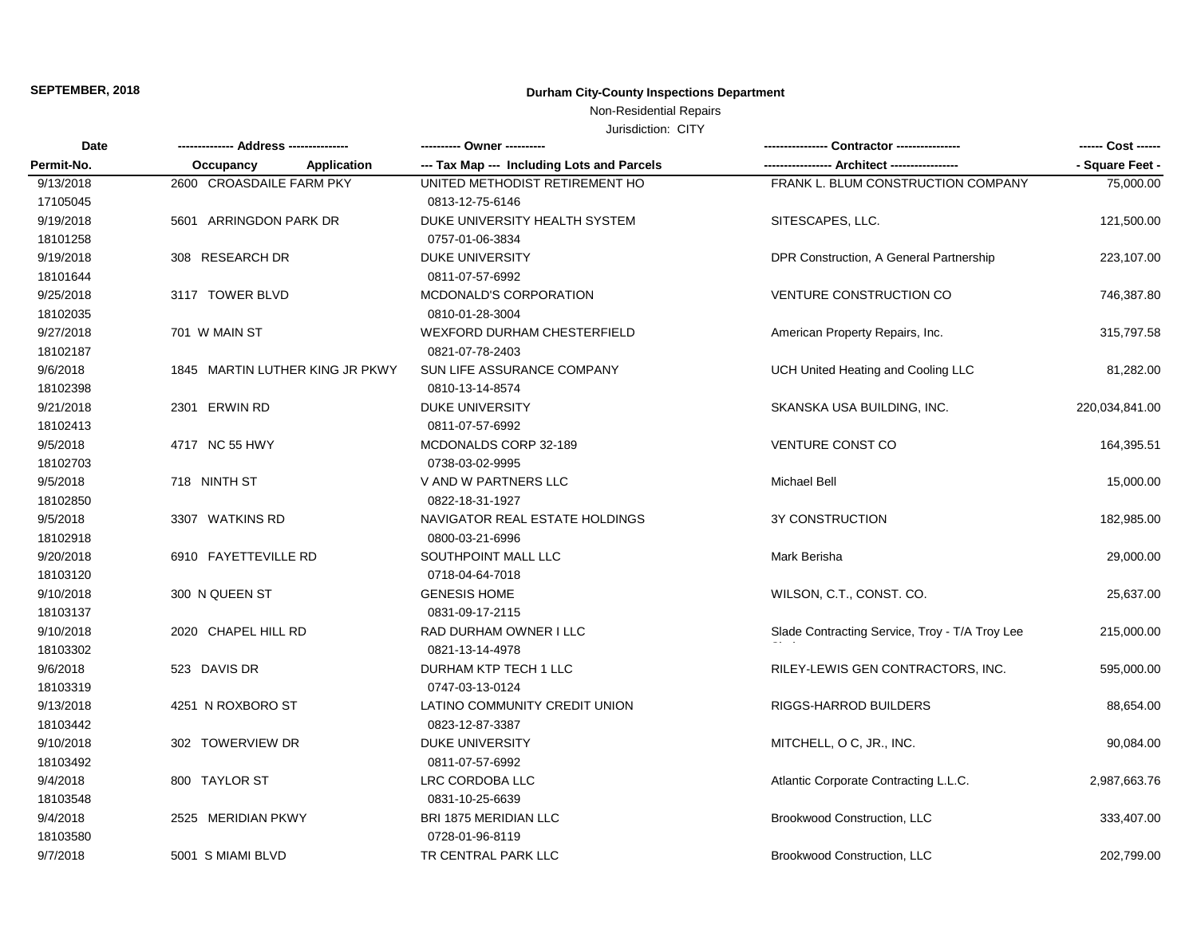# **SEPTEMBER, 2018 Durham City-County Inspections Department**

## Non-Residential Repairs

Jurisdiction: CITY

| Date       |                                 |                                            |                                                | ------ Cost ------ |
|------------|---------------------------------|--------------------------------------------|------------------------------------------------|--------------------|
| Permit-No. | Occupancy<br><b>Application</b> | --- Tax Map --- Including Lots and Parcels |                                                | - Square Feet -    |
| 9/13/2018  | 2600 CROASDAILE FARM PKY        | UNITED METHODIST RETIREMENT HO             | FRANK L. BLUM CONSTRUCTION COMPANY             | 75,000.00          |
| 17105045   |                                 | 0813-12-75-6146                            |                                                |                    |
| 9/19/2018  | 5601 ARRINGDON PARK DR          | DUKE UNIVERSITY HEALTH SYSTEM              | SITESCAPES, LLC.                               | 121,500.00         |
| 18101258   |                                 | 0757-01-06-3834                            |                                                |                    |
| 9/19/2018  | 308 RESEARCH DR                 | DUKE UNIVERSITY                            | DPR Construction, A General Partnership        | 223,107.00         |
| 18101644   |                                 | 0811-07-57-6992                            |                                                |                    |
| 9/25/2018  | 3117 TOWER BLVD                 | MCDONALD'S CORPORATION                     | VENTURE CONSTRUCTION CO                        | 746,387.80         |
| 18102035   |                                 | 0810-01-28-3004                            |                                                |                    |
| 9/27/2018  | 701 W MAIN ST                   | <b>WEXFORD DURHAM CHESTERFIELD</b>         | American Property Repairs, Inc.                | 315,797.58         |
| 18102187   |                                 | 0821-07-78-2403                            |                                                |                    |
| 9/6/2018   | 1845 MARTIN LUTHER KING JR PKWY | SUN LIFE ASSURANCE COMPANY                 | UCH United Heating and Cooling LLC             | 81,282.00          |
| 18102398   |                                 | 0810-13-14-8574                            |                                                |                    |
| 9/21/2018  | 2301 ERWIN RD                   | <b>DUKE UNIVERSITY</b>                     | SKANSKA USA BUILDING, INC.                     | 220,034,841.00     |
| 18102413   |                                 | 0811-07-57-6992                            |                                                |                    |
| 9/5/2018   | 4717 NC 55 HWY                  | MCDONALDS CORP 32-189                      | <b>VENTURE CONST CO</b>                        | 164,395.51         |
| 18102703   |                                 | 0738-03-02-9995                            |                                                |                    |
| 9/5/2018   | 718 NINTH ST                    | V AND W PARTNERS LLC                       | Michael Bell                                   | 15,000.00          |
| 18102850   |                                 | 0822-18-31-1927                            |                                                |                    |
| 9/5/2018   | 3307 WATKINS RD                 | NAVIGATOR REAL ESTATE HOLDINGS             | <b>3Y CONSTRUCTION</b>                         | 182,985.00         |
| 18102918   |                                 | 0800-03-21-6996                            |                                                |                    |
| 9/20/2018  | 6910 FAYETTEVILLE RD            | SOUTHPOINT MALL LLC                        | Mark Berisha                                   | 29,000.00          |
| 18103120   |                                 | 0718-04-64-7018                            |                                                |                    |
| 9/10/2018  | 300 N QUEEN ST                  | <b>GENESIS HOME</b>                        | WILSON, C.T., CONST. CO.                       | 25,637.00          |
| 18103137   |                                 | 0831-09-17-2115                            |                                                |                    |
| 9/10/2018  | 2020 CHAPEL HILL RD             | RAD DURHAM OWNER I LLC                     | Slade Contracting Service, Troy - T/A Troy Lee | 215,000.00         |
| 18103302   |                                 | 0821-13-14-4978                            |                                                |                    |
| 9/6/2018   | 523 DAVIS DR                    | DURHAM KTP TECH 1 LLC                      | RILEY-LEWIS GEN CONTRACTORS, INC.              | 595,000.00         |
| 18103319   |                                 | 0747-03-13-0124                            |                                                |                    |
| 9/13/2018  | 4251 N ROXBORO ST               | LATINO COMMUNITY CREDIT UNION              | RIGGS-HARROD BUILDERS                          | 88,654.00          |
| 18103442   |                                 | 0823-12-87-3387                            |                                                |                    |
| 9/10/2018  | 302 TOWERVIEW DR                | <b>DUKE UNIVERSITY</b>                     | MITCHELL, O C, JR., INC.                       | 90,084.00          |
| 18103492   |                                 | 0811-07-57-6992                            |                                                |                    |
| 9/4/2018   | 800 TAYLOR ST                   | LRC CORDOBA LLC                            | Atlantic Corporate Contracting L.L.C.          | 2,987,663.76       |
| 18103548   |                                 | 0831-10-25-6639                            |                                                |                    |
| 9/4/2018   | 2525 MERIDIAN PKWY              | BRI 1875 MERIDIAN LLC                      | Brookwood Construction, LLC                    | 333,407.00         |
| 18103580   |                                 | 0728-01-96-8119                            |                                                |                    |
| 9/7/2018   | 5001 S MIAMI BLVD               | TR CENTRAL PARK LLC                        | <b>Brookwood Construction, LLC</b>             | 202,799.00         |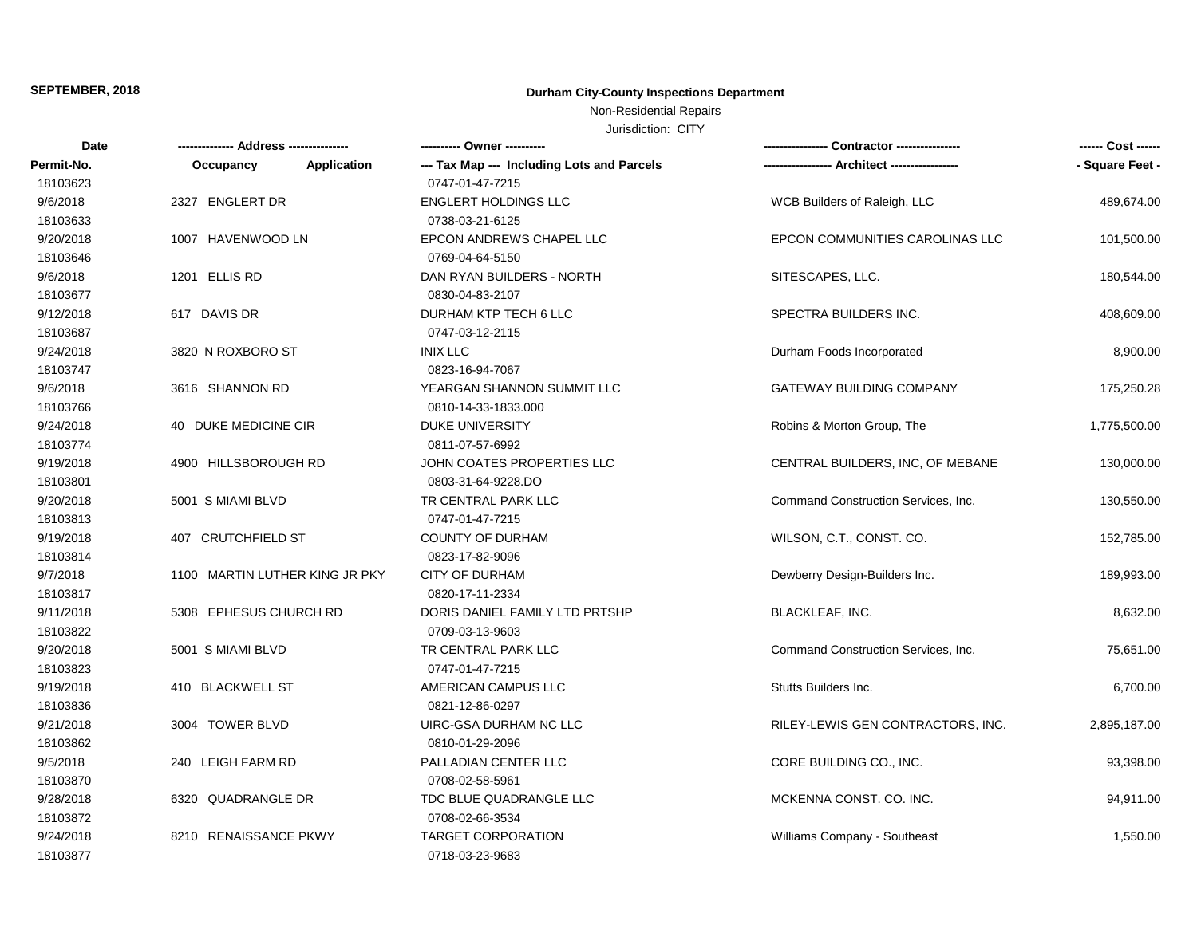# **SEPTEMBER, 2018 Durham City-County Inspections Department**

Non-Residential Repairs

Jurisdiction: CITY

| Date       | ---- Address -----              | ----- Owner ----------                     | -- Contractor -------               | ------ Cost ------ |
|------------|---------------------------------|--------------------------------------------|-------------------------------------|--------------------|
| Permit-No. | <b>Application</b><br>Occupancy | --- Tax Map --- Including Lots and Parcels | --- Architect -----------------     | - Square Feet -    |
| 18103623   |                                 | 0747-01-47-7215                            |                                     |                    |
| 9/6/2018   | 2327 ENGLERT DR                 | <b>ENGLERT HOLDINGS LLC</b>                | WCB Builders of Raleigh, LLC        | 489,674.00         |
| 18103633   |                                 | 0738-03-21-6125                            |                                     |                    |
| 9/20/2018  | 1007 HAVENWOOD LN               | <b>EPCON ANDREWS CHAPEL LLC</b>            | EPCON COMMUNITIES CAROLINAS LLC     | 101,500.00         |
| 18103646   |                                 | 0769-04-64-5150                            |                                     |                    |
| 9/6/2018   | 1201 ELLIS RD                   | DAN RYAN BUILDERS - NORTH                  | SITESCAPES, LLC.                    | 180,544.00         |
| 18103677   |                                 | 0830-04-83-2107                            |                                     |                    |
| 9/12/2018  | 617 DAVIS DR                    | DURHAM KTP TECH 6 LLC                      | SPECTRA BUILDERS INC.               | 408,609.00         |
| 18103687   |                                 | 0747-03-12-2115                            |                                     |                    |
| 9/24/2018  | 3820 N ROXBORO ST               | <b>INIX LLC</b>                            | Durham Foods Incorporated           | 8,900.00           |
| 18103747   |                                 | 0823-16-94-7067                            |                                     |                    |
| 9/6/2018   | 3616 SHANNON RD                 | YEARGAN SHANNON SUMMIT LLC                 | GATEWAY BUILDING COMPANY            | 175,250.28         |
| 18103766   |                                 | 0810-14-33-1833.000                        |                                     |                    |
| 9/24/2018  | 40 DUKE MEDICINE CIR            | <b>DUKE UNIVERSITY</b>                     | Robins & Morton Group, The          | 1,775,500.00       |
| 18103774   |                                 | 0811-07-57-6992                            |                                     |                    |
| 9/19/2018  | 4900 HILLSBOROUGH RD            | JOHN COATES PROPERTIES LLC                 | CENTRAL BUILDERS, INC, OF MEBANE    | 130,000.00         |
| 18103801   |                                 | 0803-31-64-9228.DO                         |                                     |                    |
| 9/20/2018  | 5001 S MIAMI BLVD               | TR CENTRAL PARK LLC                        | Command Construction Services, Inc. | 130,550.00         |
| 18103813   |                                 | 0747-01-47-7215                            |                                     |                    |
| 9/19/2018  | 407 CRUTCHFIELD ST              | <b>COUNTY OF DURHAM</b>                    | WILSON, C.T., CONST. CO.            | 152,785.00         |
| 18103814   |                                 | 0823-17-82-9096                            |                                     |                    |
| 9/7/2018   | 1100 MARTIN LUTHER KING JR PKY  | <b>CITY OF DURHAM</b>                      | Dewberry Design-Builders Inc.       | 189,993.00         |
| 18103817   |                                 | 0820-17-11-2334                            |                                     |                    |
| 9/11/2018  | 5308 EPHESUS CHURCH RD          | DORIS DANIEL FAMILY LTD PRTSHP             | <b>BLACKLEAF, INC.</b>              | 8,632.00           |
| 18103822   |                                 | 0709-03-13-9603                            |                                     |                    |
| 9/20/2018  | 5001 S MIAMI BLVD               | TR CENTRAL PARK LLC                        | Command Construction Services, Inc. | 75,651.00          |
| 18103823   |                                 | 0747-01-47-7215                            |                                     |                    |
| 9/19/2018  | 410 BLACKWELL ST                | AMERICAN CAMPUS LLC                        | Stutts Builders Inc.                | 6,700.00           |
| 18103836   |                                 | 0821-12-86-0297                            |                                     |                    |
| 9/21/2018  | 3004 TOWER BLVD                 | UIRC-GSA DURHAM NC LLC                     | RILEY-LEWIS GEN CONTRACTORS, INC.   | 2,895,187.00       |
| 18103862   |                                 | 0810-01-29-2096                            |                                     |                    |
| 9/5/2018   | 240 LEIGH FARM RD               | PALLADIAN CENTER LLC                       | CORE BUILDING CO., INC.             | 93,398.00          |
| 18103870   |                                 | 0708-02-58-5961                            |                                     |                    |
| 9/28/2018  | 6320 QUADRANGLE DR              | TDC BLUE QUADRANGLE LLC                    | MCKENNA CONST. CO. INC.             | 94,911.00          |
| 18103872   |                                 | 0708-02-66-3534                            |                                     |                    |
| 9/24/2018  | 8210 RENAISSANCE PKWY           | <b>TARGET CORPORATION</b>                  | Williams Company - Southeast        | 1,550.00           |
| 18103877   |                                 | 0718-03-23-9683                            |                                     |                    |